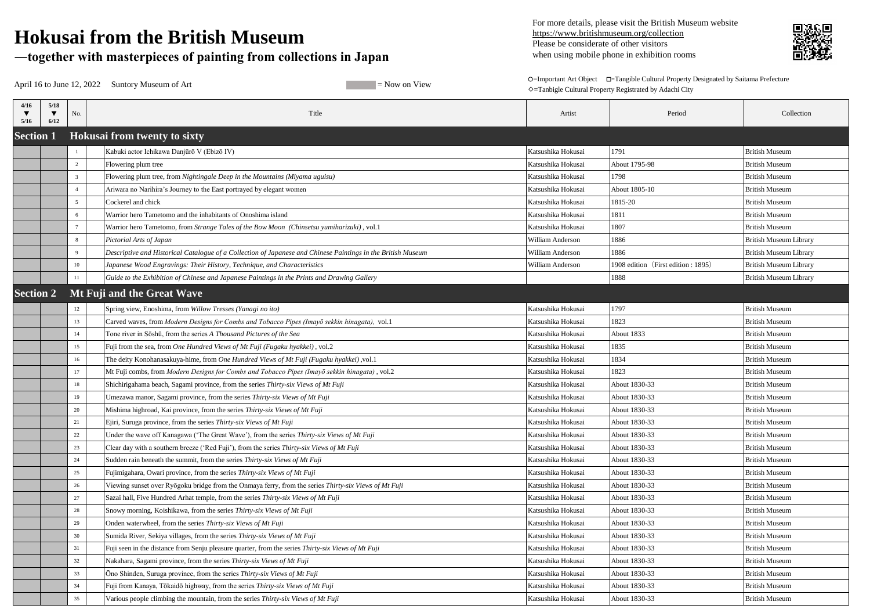| April 16 to June 12, 2022 Suntory Museum of Art<br>$=$ Now on View |                 |                                                                                                              |                    | O=Important Art Object  □=Tangible Cultural Property Designated by Saitama Prefecture<br>◇=Tanbigle Cultural Property Registrated by Adachi City |                               |  |
|--------------------------------------------------------------------|-----------------|--------------------------------------------------------------------------------------------------------------|--------------------|--------------------------------------------------------------------------------------------------------------------------------------------------|-------------------------------|--|
| $5/18$<br>4/16<br>▼<br>6/12<br>5/16                                | No.             | Title                                                                                                        | Artist             | Period                                                                                                                                           | Collection                    |  |
| <b>Section 1</b>                                                   |                 | <b>Hokusai from twenty to sixty</b>                                                                          |                    |                                                                                                                                                  |                               |  |
|                                                                    |                 | Kabuki actor Ichikawa Danjūrō V (Ebizō IV)                                                                   | Katsushika Hokusai | 1791                                                                                                                                             | <b>British Museum</b>         |  |
|                                                                    | 2               | Flowering plum tree                                                                                          | Katsushika Hokusai | About 1795-98                                                                                                                                    | <b>British Museum</b>         |  |
|                                                                    | $\overline{3}$  | Flowering plum tree, from Nightingale Deep in the Mountains (Miyama uguisu)                                  | Katsushika Hokusai | 1798                                                                                                                                             | <b>British Museum</b>         |  |
|                                                                    | 4               | Ariwara no Narihira's Journey to the East portrayed by elegant women                                         | Katsushika Hokusai | About 1805-10                                                                                                                                    | <b>British Museum</b>         |  |
|                                                                    | $5\overline{)}$ | Cockerel and chick                                                                                           | Katsushika Hokusai | 1815-20                                                                                                                                          | <b>British Museum</b>         |  |
|                                                                    | 6               | Warrior hero Tametomo and the inhabitants of Onoshima island                                                 | Katsushika Hokusai | 1811                                                                                                                                             | <b>British Museum</b>         |  |
|                                                                    | $7\phantom{.0}$ | Warrior hero Tametomo, from Strange Tales of the Bow Moon (Chinsetsu yumiharizuki), vol.1                    | Katsushika Hokusai | 1807                                                                                                                                             | <b>British Museum</b>         |  |
|                                                                    | 8               | Pictorial Arts of Japan                                                                                      | William Anderson   | 1886                                                                                                                                             | <b>British Museum Library</b> |  |
|                                                                    | -9              | Descriptive and Historical Catalogue of a Collection of Japanese and Chinese Paintings in the British Museum | William Anderson   | 1886                                                                                                                                             | <b>British Museum Library</b> |  |
|                                                                    | 10              | Japanese Wood Engravings: Their History, Technique, and Characteristics                                      | William Anderson   | 1908 edition (First edition: 1895)                                                                                                               | <b>British Museum Library</b> |  |
|                                                                    | 11              | Guide to the Exhibition of Chinese and Japanese Paintings in the Prints and Drawing Gallery                  |                    | 1888                                                                                                                                             | <b>British Museum Library</b> |  |
| <b>Section 2</b>                                                   |                 | Mt Fuji and the Great Wave                                                                                   |                    |                                                                                                                                                  |                               |  |
|                                                                    | 12              | Spring view, Enoshima, from Willow Tresses (Yanagi no ito)                                                   | Katsushika Hokusai | 1797                                                                                                                                             | <b>British Museum</b>         |  |
|                                                                    | 13              | Carved waves, from Modern Designs for Combs and Tobacco Pipes (Imayō sekkin hinagata), vol.1                 | Katsushika Hokusai | 1823                                                                                                                                             | <b>British Museum</b>         |  |
|                                                                    | 14              | Tone river in Soshū, from the series A Thousand Pictures of the Sea                                          | Katsushika Hokusai | About 1833                                                                                                                                       | <b>British Museum</b>         |  |
|                                                                    | 15              | Fuji from the sea, from One Hundred Views of Mt Fuji (Fugaku hyakkei), vol.2                                 | Katsushika Hokusai | 1835                                                                                                                                             | <b>British Museum</b>         |  |
|                                                                    | 16              | The deity Konohanasakuya-hime, from One Hundred Views of Mt Fuji (Fugaku hyakkei), vol.1                     | Katsushika Hokusai | 1834                                                                                                                                             | <b>British Museum</b>         |  |
|                                                                    | 17              | Mt Fuji combs, from Modern Designs for Combs and Tobacco Pipes (Imayō sekkin hinagata), vol.2                | Katsushika Hokusai | 1823                                                                                                                                             | <b>British Museum</b>         |  |
|                                                                    | 18              | Shichirigahama beach, Sagami province, from the series Thirty-six Views of Mt Fuji                           | Katsushika Hokusai | About 1830-33                                                                                                                                    | <b>British Museum</b>         |  |
|                                                                    | 19              | Umezawa manor, Sagami province, from the series Thirty-six Views of Mt Fuji                                  | Katsushika Hokusai | About 1830-33                                                                                                                                    | <b>British Museum</b>         |  |
|                                                                    | 20              | Mishima highroad, Kai province, from the series Thirty-six Views of Mt Fuji                                  | Katsushika Hokusai | About 1830-33                                                                                                                                    | <b>British Museum</b>         |  |
|                                                                    | 21              | Ejiri, Suruga province, from the series Thirty-six Views of Mt Fuji                                          | Katsushika Hokusai | About 1830-33                                                                                                                                    | <b>British Museum</b>         |  |
|                                                                    | 22              | Under the wave off Kanagawa ('The Great Wave'), from the series Thirty-six Views of Mt Fuji                  | Katsushika Hokusai | About 1830-33                                                                                                                                    | <b>British Museum</b>         |  |
|                                                                    | 23              | Clear day with a southern breeze ('Red Fuji'), from the series Thirty-six Views of Mt Fuji                   | Katsushika Hokusai | About 1830-33                                                                                                                                    | <b>British Museum</b>         |  |
|                                                                    | 24              | Sudden rain beneath the summit, from the series Thirty-six Views of Mt Fuji                                  | Katsushika Hokusai | About 1830-33                                                                                                                                    | <b>British Museum</b>         |  |
|                                                                    | 25              | Fujimigahara, Owari province, from the series Thirty-six Views of Mt Fuji                                    | Katsushika Hokusai | About 1830-33                                                                                                                                    | <b>British Museum</b>         |  |
|                                                                    | 26              | Viewing sunset over Ryōgoku bridge from the Onmaya ferry, from the series Thirty-six Views of Mt Fuji        | Katsushika Hokusai | About 1830-33                                                                                                                                    | <b>British Museum</b>         |  |
|                                                                    | 27              | Sazai hall, Five Hundred Arhat temple, from the series Thirty-six Views of Mt Fuji                           | Katsushika Hokusai | About 1830-33                                                                                                                                    | <b>British Museum</b>         |  |
|                                                                    | 28              | Snowy morning, Koishikawa, from the series Thirty-six Views of Mt Fuji                                       | Katsushika Hokusai | About 1830-33                                                                                                                                    | <b>British Museum</b>         |  |
|                                                                    | 29              | Onden waterwheel, from the series Thirty-six Views of Mt Fuji                                                | Katsushika Hokusai | About 1830-33                                                                                                                                    | <b>British Museum</b>         |  |
|                                                                    | 30              | Sumida River, Sekiya villages, from the series Thirty-six Views of Mt Fuji                                   | Katsushika Hokusai | About 1830-33                                                                                                                                    | <b>British Museum</b>         |  |
|                                                                    | 31              | Fuji seen in the distance from Senju pleasure quarter, from the series Thirty-six Views of Mt Fuji           | Katsushika Hokusai | About 1830-33                                                                                                                                    | <b>British Museum</b>         |  |
|                                                                    | 32              | Nakahara, Sagami province, from the series Thirty-six Views of Mt Fuji                                       | Katsushika Hokusai | About 1830-33                                                                                                                                    | <b>British Museum</b>         |  |
|                                                                    | 33              | Ono Shinden, Suruga province, from the series Thirty-six Views of Mt Fuji                                    | Katsushika Hokusai | About 1830-33                                                                                                                                    | <b>British Museum</b>         |  |
|                                                                    | 34              | Fuji from Kanaya, Tōkaidō highway, from the series Thirty-six Views of Mt Fuji                               | Katsushika Hokusai | About 1830-33                                                                                                                                    | <b>British Museum</b>         |  |
|                                                                    | 35              | Various people climbing the mountain, from the series Thirty-six Views of Mt Fuji                            | Katsushika Hokusai | About 1830-33                                                                                                                                    | <b>British Museum</b>         |  |



## **Hokusai from the British Museum**

## **―together with masterpieces of painting from collections in Japan**

 For more details, please visit the British Museum website https://www.britishmuseum.org/collection Please be considerate of other visitors when using mobile phone in exhibition rooms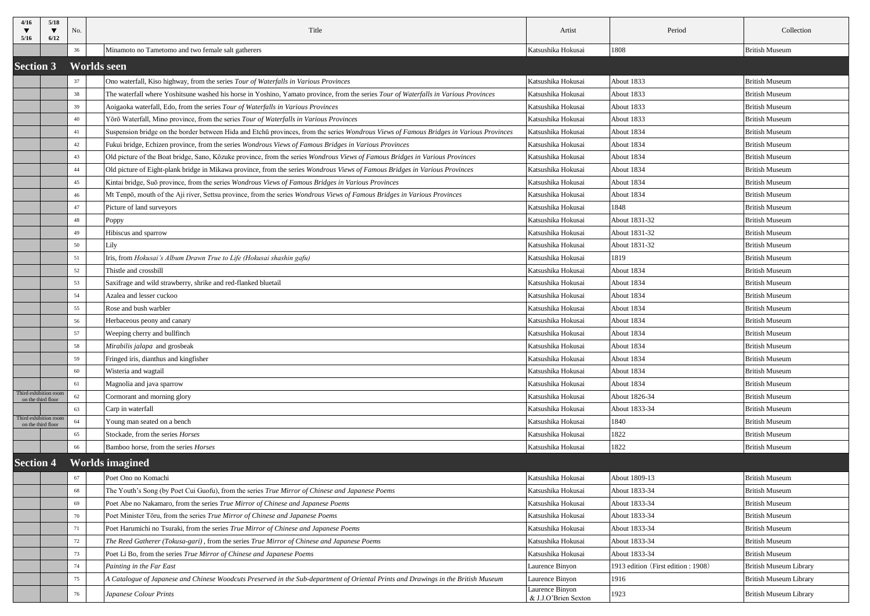| 4/16<br>5/16                               | 5/18<br>6/12                                | No. | Title                                                                                                                                   | Artist                                  | Period                             | Collection                    |  |
|--------------------------------------------|---------------------------------------------|-----|-----------------------------------------------------------------------------------------------------------------------------------------|-----------------------------------------|------------------------------------|-------------------------------|--|
|                                            |                                             | 36  | Minamoto no Tametomo and two female salt gatherers                                                                                      | Katsushika Hokusai                      | 1808                               | <b>British Museum</b>         |  |
|                                            | <b>Worlds seen</b><br><b>Section 3</b>      |     |                                                                                                                                         |                                         |                                    |                               |  |
|                                            |                                             | 37  | Ono waterfall, Kiso highway, from the series Tour of Waterfalls in Various Provinces                                                    | Katsushika Hokusai                      | About 1833                         | <b>British Museum</b>         |  |
|                                            |                                             | 38  | The waterfall where Yoshitsune washed his horse in Yoshino, Yamato province, from the series Tour of Waterfalls in Various Provinces    | Katsushika Hokusai                      | About 1833                         | <b>British Museum</b>         |  |
|                                            |                                             | 39  | Aoigaoka waterfall, Edo, from the series Tour of Waterfalls in Various Provinces                                                        | Katsushika Hokusai                      | About 1833                         | <b>British Museum</b>         |  |
|                                            |                                             | 40  | Yōrō Waterfall, Mino province, from the series Tour of Waterfalls in Various Provinces                                                  | Katsushika Hokusai                      | About 1833                         | <b>British Museum</b>         |  |
|                                            |                                             | 41  | Suspension bridge on the border between Hida and Etchū provinces, from the series Wondrous Views of Famous Bridges in Various Provinces | Katsushika Hokusai                      | About 1834                         | <b>British Museum</b>         |  |
|                                            |                                             | 42  | Fukui bridge, Echizen province, from the series Wondrous Views of Famous Bridges in Various Provinces                                   | Katsushika Hokusai                      | About 1834                         | <b>British Museum</b>         |  |
|                                            |                                             | 43  | Old picture of the Boat bridge, Sano, Kōzuke province, from the series Wondrous Views of Famous Bridges in Various Provinces            | Katsushika Hokusai                      | About 1834                         | <b>British Museum</b>         |  |
|                                            |                                             | 44  | Old picture of Eight-plank bridge in Mikawa province, from the series Wondrous Views of Famous Bridges in Various Provinces             | Katsushika Hokusai                      | About 1834                         | <b>British Museum</b>         |  |
|                                            |                                             | 45  | Kintai bridge, Suō province, from the series Wondrous Views of Famous Bridges in Various Provinces                                      | Katsushika Hokusai                      | About 1834                         | <b>British Museum</b>         |  |
|                                            |                                             | 46  | Mt Tenpō, mouth of the Aji river, Settsu province, from the series Wondrous Views of Famous Bridges in Various Provinces                | Katsushika Hokusai                      | About 1834                         | <b>British Museum</b>         |  |
|                                            |                                             | 47  | Picture of land surveyors                                                                                                               | Katsushika Hokusai                      | 1848                               | <b>British Museum</b>         |  |
|                                            |                                             | 48  | Poppy                                                                                                                                   | Katsushika Hokusai                      | About 1831-32                      | <b>British Museum</b>         |  |
|                                            |                                             | 49  | Hibiscus and sparrow                                                                                                                    | Katsushika Hokusai                      | About 1831-32                      | <b>British Museum</b>         |  |
|                                            |                                             | 50  | Lily                                                                                                                                    | Katsushika Hokusai                      | About 1831-32                      | <b>British Museum</b>         |  |
|                                            |                                             | 51  | Iris, from Hokusai's Album Drawn True to Life (Hokusai shashin gafu)                                                                    | Katsushika Hokusai                      | 1819                               | <b>British Museum</b>         |  |
|                                            |                                             | 52  | Thistle and crossbill                                                                                                                   | Katsushika Hokusai                      | About 1834                         | <b>British Museum</b>         |  |
|                                            |                                             | 53  | Saxifrage and wild strawberry, shrike and red-flanked bluetail                                                                          | Katsushika Hokusai                      | About 1834                         | <b>British Museum</b>         |  |
|                                            |                                             | 54  | Azalea and lesser cuckoo                                                                                                                | Katsushika Hokusai                      | About 1834                         | <b>British Museum</b>         |  |
|                                            |                                             | 55  | Rose and bush warbler                                                                                                                   | Katsushika Hokusai                      | About 1834                         | <b>British Museum</b>         |  |
|                                            |                                             | 56  | Herbaceous peony and canary                                                                                                             | Katsushika Hokusai                      | About 1834                         | <b>British Museum</b>         |  |
|                                            |                                             | 57  | Weeping cherry and bullfinch                                                                                                            | Katsushika Hokusai                      | About 1834                         | <b>British Museum</b>         |  |
|                                            |                                             | 58  | Mirabilis jalapa and grosbeak                                                                                                           | Katsushika Hokusai                      | About 1834                         | <b>British Museum</b>         |  |
|                                            |                                             | 59  | Fringed iris, dianthus and kingfisher                                                                                                   | Katsushika Hokusai                      | About 1834                         | <b>British Museum</b>         |  |
|                                            |                                             | 60  | Wisteria and wagtail                                                                                                                    | Katsushika Hokusai                      | About 1834                         | <b>British Museum</b>         |  |
|                                            |                                             | 61  | Magnolia and java sparrow                                                                                                               | Katsushika Hokusai                      | About 1834                         | <b>British Museum</b>         |  |
|                                            | Third exhibition room<br>on the third floor | 62  | Cormorant and morning glory                                                                                                             | Katsushika Hokusai                      | About 1826-34                      | <b>British Museum</b>         |  |
|                                            | Third exhibition room                       | 63  | Carp in waterfall                                                                                                                       | Katsushika Hokusai                      | About 1833-34                      | <b>British Museum</b>         |  |
|                                            | on the third floor                          | 64  | Young man seated on a bench                                                                                                             | Katsushika Hokusai                      | 1840                               | <b>British Museum</b>         |  |
|                                            |                                             | 65  | Stockade, from the series Horses                                                                                                        | Katsushika Hokusai                      | 1822                               | <b>British Museum</b>         |  |
|                                            |                                             | 66  | Bamboo horse, from the series Horses                                                                                                    | Katsushika Hokusai                      | 1822                               | <b>British Museum</b>         |  |
| <b>Worlds imagined</b><br><b>Section 4</b> |                                             |     |                                                                                                                                         |                                         |                                    |                               |  |
|                                            |                                             | 67  | Poet Ono no Komachi                                                                                                                     | Katsushika Hokusai                      | About 1809-13                      | <b>British Museum</b>         |  |
|                                            |                                             | 68  | The Youth's Song (by Poet Cui Guofu), from the series True Mirror of Chinese and Japanese Poems                                         | Katsushika Hokusai                      | About 1833-34                      | <b>British Museum</b>         |  |
|                                            |                                             | 69  | Poet Abe no Nakamaro, from the series True Mirror of Chinese and Japanese Poems                                                         | Katsushika Hokusai                      | About 1833-34                      | <b>British Museum</b>         |  |
|                                            |                                             | 70  | Poet Minister Toru, from the series True Mirror of Chinese and Japanese Poems                                                           | Katsushika Hokusai                      | About 1833-34                      | <b>British Museum</b>         |  |
|                                            |                                             | 71  | Poet Harumichi no Tsuraki, from the series True Mirror of Chinese and Japanese Poems                                                    | Katsushika Hokusai                      | About 1833-34                      | <b>British Museum</b>         |  |
|                                            |                                             | 72  | The Reed Gatherer (Tokusa-gari), from the series True Mirror of Chinese and Japanese Poems                                              | Katsushika Hokusai                      | About 1833-34                      | <b>British Museum</b>         |  |
|                                            |                                             | 73  | Poet Li Bo, from the series True Mirror of Chinese and Japanese Poems                                                                   | Katsushika Hokusai                      | About 1833-34                      | <b>British Museum</b>         |  |
|                                            |                                             | 74  | Painting in the Far East                                                                                                                | Laurence Binyon                         | 1913 edition (First edition: 1908) | <b>British Museum Library</b> |  |
|                                            |                                             | 75  | A Catalogue of Japanese and Chinese Woodcuts Preserved in the Sub-department of Oriental Prints and Drawings in the British Museum      | Laurence Binyon                         | 1916                               | <b>British Museum Library</b> |  |
|                                            |                                             | 76  | Japanese Colour Prints                                                                                                                  | Laurence Binyon<br>& J.J.O'Brien Sexton | 1923                               | <b>British Museum Library</b> |  |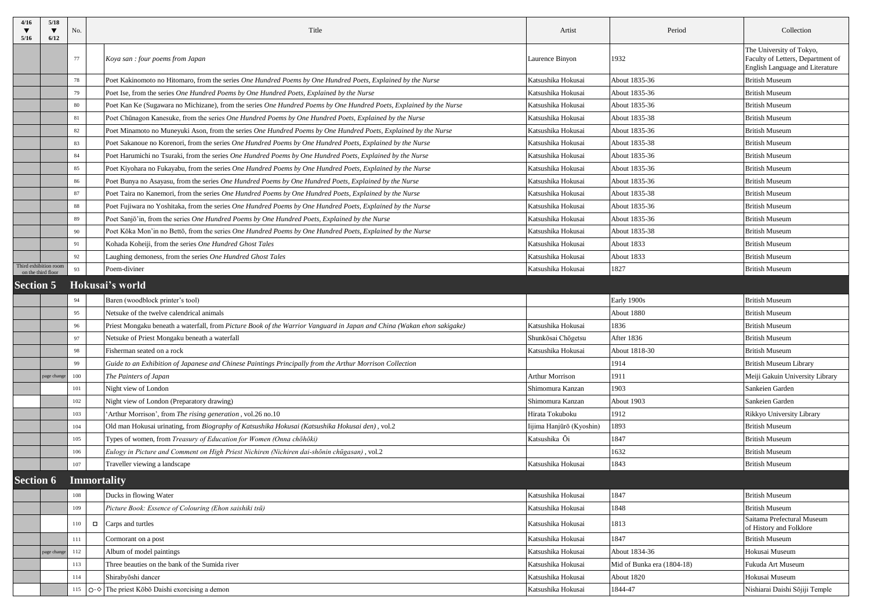| 4/16<br>5/16     | 5/18<br>6/12                                | No. | Title                                                                                                                  | Artist                   | Period                     | Collection                                                                                              |
|------------------|---------------------------------------------|-----|------------------------------------------------------------------------------------------------------------------------|--------------------------|----------------------------|---------------------------------------------------------------------------------------------------------|
|                  |                                             | 77  | Koya san : four poems from Japan                                                                                       | Laurence Binyon          | 1932                       | The University of Tokyo,<br>Faculty of Letters, Department of<br><b>English Language and Literature</b> |
|                  |                                             | 78  | Poet Kakinomoto no Hitomaro, from the series One Hundred Poems by One Hundred Poets, Explained by the Nurse            | Katsushika Hokusai       | About 1835-36              | <b>British Museum</b>                                                                                   |
|                  |                                             | 79  | Poet Ise, from the series One Hundred Poems by One Hundred Poets, Explained by the Nurse                               | Katsushika Hokusai       | About 1835-36              | <b>British Museum</b>                                                                                   |
|                  |                                             | 80  | Poet Kan Ke (Sugawara no Michizane), from the series One Hundred Poems by One Hundred Poets, Explained by the Nurse    | Katsushika Hokusai       | About 1835-36              | <b>British Museum</b>                                                                                   |
|                  |                                             | 81  | Poet Chūnagon Kanesuke, from the series One Hundred Poems by One Hundred Poets, Explained by the Nurse                 | Katsushika Hokusai       | About 1835-38              | <b>British Museum</b>                                                                                   |
|                  |                                             | 82  | Poet Minamoto no Muneyuki Ason, from the series One Hundred Poems by One Hundred Poets, Explained by the Nurse         | Katsushika Hokusai       | About 1835-36              | <b>British Museum</b>                                                                                   |
|                  |                                             | 83  | Poet Sakanoue no Korenori, from the series One Hundred Poems by One Hundred Poets, Explained by the Nurse              | Katsushika Hokusai       | About 1835-38              | <b>British Museum</b>                                                                                   |
|                  |                                             | 84  | Poet Harumichi no Tsuraki, from the series One Hundred Poems by One Hundred Poets, Explained by the Nurse              | Katsushika Hokusai       | About 1835-36              | <b>British Museum</b>                                                                                   |
|                  |                                             | 85  | Poet Kiyohara no Fukayabu, from the series One Hundred Poems by One Hundred Poets, Explained by the Nurse              | Katsushika Hokusai       | About 1835-36              | <b>British Museum</b>                                                                                   |
|                  |                                             | 86  | Poet Bunya no Asayasu, from the series One Hundred Poems by One Hundred Poets, Explained by the Nurse                  | Katsushika Hokusai       | About 1835-36              | <b>British Museum</b>                                                                                   |
|                  |                                             | 87  | Poet Taira no Kanemori, from the series One Hundred Poems by One Hundred Poets, Explained by the Nurse                 | Katsushika Hokusai       | About 1835-38              | <b>British Museum</b>                                                                                   |
|                  |                                             | 88  | Poet Fujiwara no Yoshitaka, from the series One Hundred Poems by One Hundred Poets, Explained by the Nurse             | Katsushika Hokusai       | About 1835-36              | <b>British Museum</b>                                                                                   |
|                  |                                             | 89  | Poet Sanjō'in, from the series One Hundred Poems by One Hundred Poets, Explained by the Nurse                          | Katsushika Hokusai       | About 1835-36              | <b>British Museum</b>                                                                                   |
|                  |                                             | 90  | Poet Kōka Mon'in no Bettō, from the series One Hundred Poems by One Hundred Poets, Explained by the Nurse              | Katsushika Hokusai       | About 1835-38              | <b>British Museum</b>                                                                                   |
|                  |                                             | 91  | Kohada Koheiji, from the series One Hundred Ghost Tales                                                                | Katsushika Hokusai       | About 1833                 | <b>British Museum</b>                                                                                   |
|                  |                                             | 92  | Laughing demoness, from the series One Hundred Ghost Tales                                                             | Katsushika Hokusai       | About 1833                 | <b>British Museum</b>                                                                                   |
|                  | Third exhibition room<br>on the third floor | 93  | Poem-diviner                                                                                                           | Katsushika Hokusai       | 1827                       | <b>British Museum</b>                                                                                   |
| <b>Section 5</b> |                                             |     | Hokusai's world                                                                                                        |                          |                            |                                                                                                         |
|                  |                                             | 94  | Baren (woodblock printer's tool)                                                                                       |                          | Early 1900s                | <b>British Museum</b>                                                                                   |
|                  |                                             | 95  | Netsuke of the twelve calendrical animals                                                                              |                          | About 1880                 | <b>British Museum</b>                                                                                   |
|                  |                                             | 96  | Priest Mongaku beneath a waterfall, from Picture Book of the Warrior Vanguard in Japan and China (Wakan ehon sakigake) | Katsushika Hokusai       | 1836                       | <b>British Museum</b>                                                                                   |
|                  |                                             | 97  | Netsuke of Priest Mongaku beneath a waterfall                                                                          | Shunkōsai Chōgetsu       | After 1836                 | <b>British Museum</b>                                                                                   |
|                  |                                             | 98  | Fisherman seated on a rock                                                                                             | Katsushika Hokusai       | About 1818-30              | <b>British Museum</b>                                                                                   |
|                  |                                             | 99  | Guide to an Exhibition of Japanese and Chinese Paintings Principally from the Arthur Morrison Collection               |                          | 1914                       | <b>British Museum Library</b>                                                                           |
|                  | page change                                 | 100 | The Painters of Japan                                                                                                  | <b>Arthur Morrison</b>   | 1911                       | Meiji Gakuin University Library                                                                         |
|                  |                                             | 101 | Night view of London                                                                                                   | Shimomura Kanzan         | 1903                       | Sankeien Garden                                                                                         |
|                  |                                             | 102 | Night view of London (Preparatory drawing)                                                                             | Shimomura Kanzan         | About 1903                 | Sankeien Garden                                                                                         |
|                  |                                             | 103 | 'Arthur Morrison', from The rising generation, vol.26 no.10                                                            | Hirata Tokuboku          | 1912                       | Rikkyo University Library                                                                               |
|                  |                                             | 104 | Old man Hokusai urinating, from Biography of Katsushika Hokusai (Katsushika Hokusai den), vol.2                        | Iijima Hanjūrō (Kyoshin) | 1893                       | <b>British Museum</b>                                                                                   |
|                  |                                             | 105 | Types of women, from Treasury of Education for Women (Onna chōhōki)                                                    | Katsushika Ōi            | 1847                       | <b>British Museum</b>                                                                                   |
|                  |                                             | 106 | Eulogy in Picture and Comment on High Priest Nichiren (Nichiren dai-shōnin chūgasan), vol.2                            |                          | 1632                       | <b>British Museum</b>                                                                                   |
|                  |                                             | 107 | Traveller viewing a landscape                                                                                          | Katsushika Hokusai       | 1843                       | <b>British Museum</b>                                                                                   |
| <b>Section 6</b> |                                             |     | <b>Immortality</b>                                                                                                     |                          |                            |                                                                                                         |
|                  |                                             | 108 | Ducks in flowing Water                                                                                                 | Katsushika Hokusai       | 1847                       | <b>British Museum</b>                                                                                   |
|                  |                                             | 109 | Picture Book: Essence of Colouring (Ehon saishiki tsū)                                                                 | Katsushika Hokusai       | 1848                       | <b>British Museum</b>                                                                                   |
|                  |                                             | 110 | Carps and turtles<br>$\Box$                                                                                            | Katsushika Hokusai       | 1813                       | Saitama Prefectural Museum<br>of History and Folklore                                                   |
|                  |                                             | 111 | Cormorant on a post                                                                                                    | Katsushika Hokusai       | 1847                       | <b>British Museum</b>                                                                                   |
|                  | page change                                 | 112 | Album of model paintings                                                                                               | Katsushika Hokusai       | About 1834-36              | Hokusai Museum                                                                                          |
|                  |                                             | 113 | Three beauties on the bank of the Sumida river                                                                         | Katsushika Hokusai       | Mid of Bunka era (1804-18) | Fukuda Art Museum                                                                                       |
|                  |                                             | 114 | Shirabyoshi dancer                                                                                                     | Katsushika Hokusai       | About 1820                 | Hokusai Museum                                                                                          |
|                  |                                             |     | 115 $\bigcirc$ The priest Kōbō Daishi exorcising a demon                                                               | Katsushika Hokusai       | 1844-47                    | Nishiarai Daishi Sōjiji Temple                                                                          |